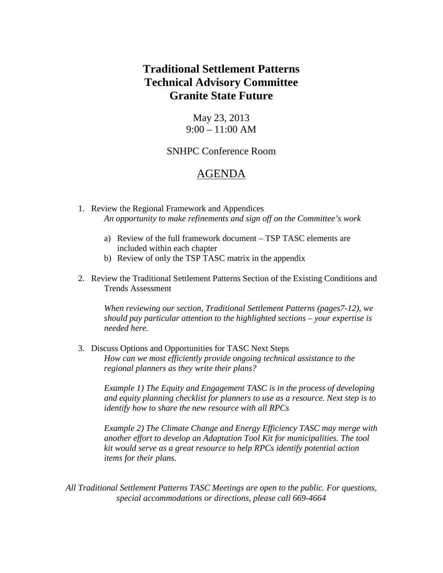# **Traditional Settlement Patterns Technical Advisory Committee Granite State Future**

May 23, 2013  $9:00 - 11:00$  AM

## SNHPC Conference Room

## AGENDA

- 1. Review the Regional Framework and Appendices *An opportunity to make refinements and sign off on the Committee's work*
	- a) Review of the full framework document TSP TASC elements are included within each chapter
	- b) Review of only the TSP TASC matrix in the appendix
- 2. Review the Traditional Settlement Patterns Section of the Existing Conditions and Trends Assessment

*When reviewing our section, Traditional Settlement Patterns (pages7-12), we should pay particular attention to the highlighted sections – your expertise is needed here.*

3. Discuss Options and Opportunities for TASC Next Steps *How can we most efficiently provide ongoing technical assistance to the regional planners as they write their plans?*

*Example 1) The Equity and Engagement TASC is in the process of developing and equity planning checklist for planners to use as a resource. Next step is to identify how to share the new resource with all RPCs*

*Example 2) The Climate Change and Energy Efficiency TASC may merge with another effort to develop an Adaptation Tool Kit for municipalities. The tool kit would serve as a great resource to help RPCs identify potential action items for their plans.*

*All Traditional Settlement Patterns TASC Meetings are open to the public. For questions, special accommodations or directions, please call 669-4664*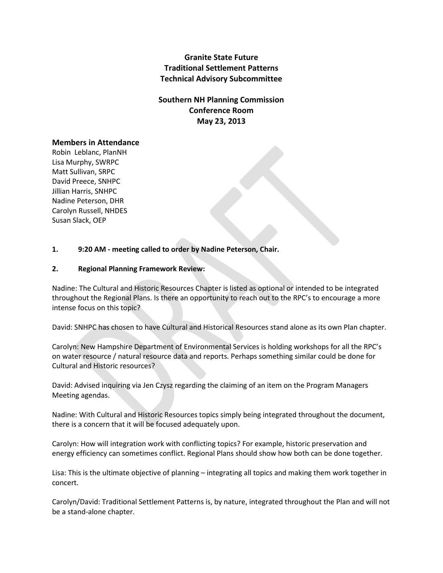**Granite State Future Traditional Settlement Patterns Technical Advisory Subcommittee**

**Southern NH Planning Commission Conference Room May 23, 2013**

#### **Members in Attendance**

Robin Leblanc, PlanNH Lisa Murphy, SWRPC Matt Sullivan, SRPC David Preece, SNHPC Jillian Harris, SNHPC Nadine Peterson, DHR Carolyn Russell, NHDES Susan Slack, OEP

#### **1. 9:20 AM - meeting called to order by Nadine Peterson, Chair.**

#### **2. Regional Planning Framework Review:**

Nadine: The Cultural and Historic Resources Chapter is listed as optional or intended to be integrated throughout the Regional Plans. Is there an opportunity to reach out to the RPC's to encourage a more intense focus on this topic?

David: SNHPC has chosen to have Cultural and Historical Resources stand alone as its own Plan chapter.

Carolyn: New Hampshire Department of Environmental Services is holding workshops for all the RPC's on water resource / natural resource data and reports. Perhaps something similar could be done for Cultural and Historic resources?

David: Advised inquiring via Jen Czysz regarding the claiming of an item on the Program Managers Meeting agendas.

Nadine: With Cultural and Historic Resources topics simply being integrated throughout the document, there is a concern that it will be focused adequately upon.

Carolyn: How will integration work with conflicting topics? For example, historic preservation and energy efficiency can sometimes conflict. Regional Plans should show how both can be done together.

Lisa: This is the ultimate objective of planning – integrating all topics and making them work together in concert.

Carolyn/David: Traditional Settlement Patterns is, by nature, integrated throughout the Plan and will not be a stand-alone chapter.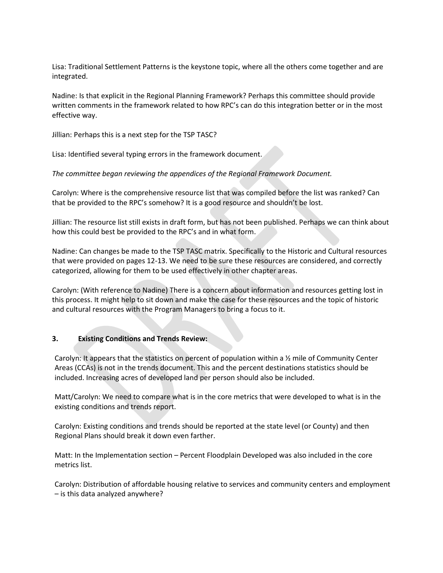Lisa: Traditional Settlement Patterns is the keystone topic, where all the others come together and are integrated.

Nadine: Is that explicit in the Regional Planning Framework? Perhaps this committee should provide written comments in the framework related to how RPC's can do this integration better or in the most effective way.

Jillian: Perhaps this is a next step for the TSP TASC?

Lisa: Identified several typing errors in the framework document.

*The committee began reviewing the appendices of the Regional Framework Document.*

Carolyn: Where is the comprehensive resource list that was compiled before the list was ranked? Can that be provided to the RPC's somehow? It is a good resource and shouldn't be lost.

Jillian: The resource list still exists in draft form, but has not been published. Perhaps we can think about how this could best be provided to the RPC's and in what form.

Nadine: Can changes be made to the TSP TASC matrix. Specifically to the Historic and Cultural resources that were provided on pages 12-13. We need to be sure these resources are considered, and correctly categorized, allowing for them to be used effectively in other chapter areas.

Carolyn: (With reference to Nadine) There is a concern about information and resources getting lost in this process. It might help to sit down and make the case for these resources and the topic of historic and cultural resources with the Program Managers to bring a focus to it.

### **3. Existing Conditions and Trends Review:**

Carolyn: It appears that the statistics on percent of population within a  $\frac{1}{2}$  mile of Community Center Areas (CCAs) is not in the trends document. This and the percent destinations statistics should be included. Increasing acres of developed land per person should also be included.

Matt/Carolyn: We need to compare what is in the core metrics that were developed to what is in the existing conditions and trends report.

Carolyn: Existing conditions and trends should be reported at the state level (or County) and then Regional Plans should break it down even farther.

Matt: In the Implementation section – Percent Floodplain Developed was also included in the core metrics list.

Carolyn: Distribution of affordable housing relative to services and community centers and employment – is this data analyzed anywhere?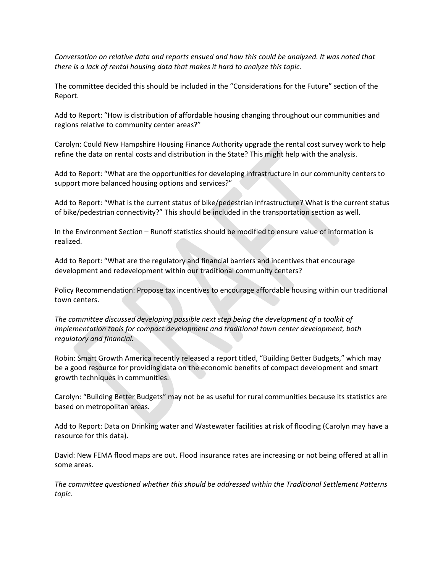*Conversation on relative data and reports ensued and how this could be analyzed. It was noted that there is a lack of rental housing data that makes it hard to analyze this topic.* 

The committee decided this should be included in the "Considerations for the Future" section of the Report.

Add to Report: "How is distribution of affordable housing changing throughout our communities and regions relative to community center areas?"

Carolyn: Could New Hampshire Housing Finance Authority upgrade the rental cost survey work to help refine the data on rental costs and distribution in the State? This might help with the analysis.

Add to Report: "What are the opportunities for developing infrastructure in our community centers to support more balanced housing options and services?"

Add to Report: "What is the current status of bike/pedestrian infrastructure? What is the current status of bike/pedestrian connectivity?" This should be included in the transportation section as well.

In the Environment Section – Runoff statistics should be modified to ensure value of information is realized.

Add to Report: "What are the regulatory and financial barriers and incentives that encourage development and redevelopment within our traditional community centers?

Policy Recommendation: Propose tax incentives to encourage affordable housing within our traditional town centers.

*The committee discussed developing possible next step being the development of a toolkit of implementation tools for compact development and traditional town center development, both regulatory and financial.* 

Robin: Smart Growth America recently released a report titled, "Building Better Budgets," which may be a good resource for providing data on the economic benefits of compact development and smart growth techniques in communities.

Carolyn: "Building Better Budgets" may not be as useful for rural communities because its statistics are based on metropolitan areas.

Add to Report: Data on Drinking water and Wastewater facilities at risk of flooding (Carolyn may have a resource for this data).

David: New FEMA flood maps are out. Flood insurance rates are increasing or not being offered at all in some areas.

*The committee questioned whether this should be addressed within the Traditional Settlement Patterns topic.*